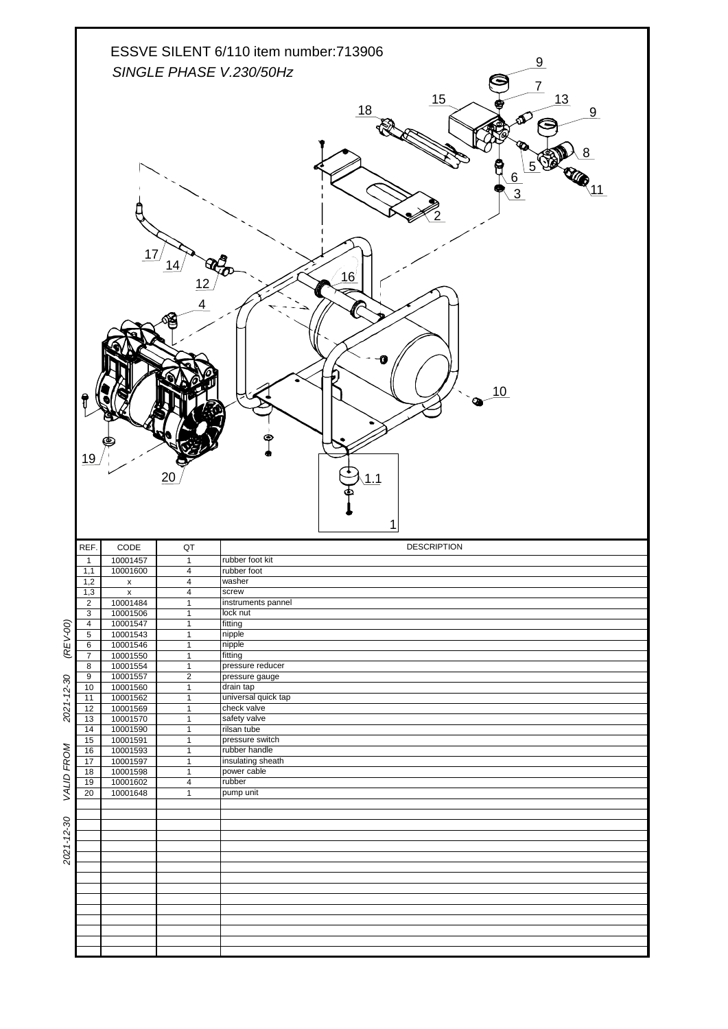